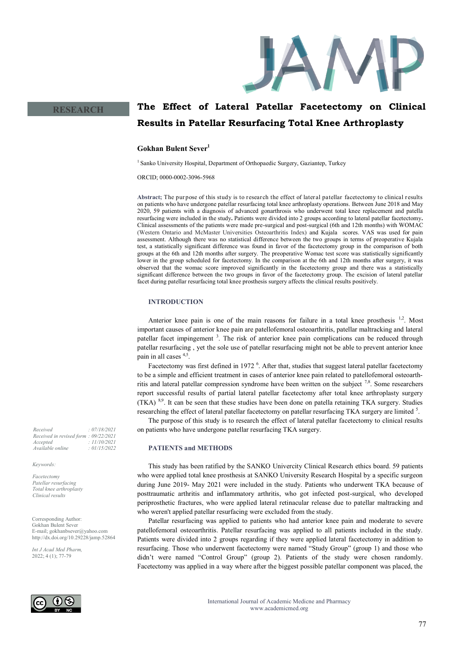

**RESEARCH**

# **The Effect of Lateral Patellar Facetectomy on Clinical Results in Patellar Resurfacing Total Knee Arthroplasty**

## **Gokhan Bulent Sever<sup>1</sup>**

<sup>1</sup> Sanko University Hospital, Department of Orthopaedic Surgery, Gaziantep, Turkey

ORCID; 0000-0002-3096-5968

**Abstract;** The pur pose of this study is to research the effect of lateral patellar facetectomy to clinical results on patients who have undergone patellar resurfacing total knee arthroplasty operations. Between June 2018 and May 2020, 59 patients with a diagnosis of advanced gonarthrosis who underwent total knee replacement and patella resurfacing were included in the study**.** Patients were divided into 2 groups according to lateral patellar facetectomy**.**  Clinical assessments of the patients were made pre-surgical and post-surgical (6th and 12th months) with WOMAC (Western Ontario and McMaster Universities Osteoarthritis Index) and Kujala scores. VAS was used for pain assessment. Although there was no statistical difference between the two groups in terms of preoperative Kujala test, a statistically significant difference was found in favor of the facetectomy group in the comparison of both groups at the 6th and 12th months after surgery. The preoperative Womac test score was statistically significantly lower in the group scheduled for facetectomy. In the comparison at the 6th and 12th months after surgery, it was observed that the womac score improved significantly in the facetectomy group and there was a statistically significant difference between the two groups in favor of the facetectomy group. The excision of lateral patellar facet during patellar resurfacing total knee prosthesis surgery affects the clinical results positively.

## **INTRODUCTION**

Anterior knee pain is one of the main reasons for failure in a total knee prosthesis  $1,2$ . Most important causes of anterior knee pain are patellofemoral osteoarthritis, patellar maltracking and lateral patellar facet impingement<sup>3</sup>. The risk of anterior knee pain complications can be reduced through patellar resurfacing , yet the sole use of patellar resurfacing might not be able to prevent anterior knee pain in all cases 4,5 .

Facetectomy was first defined in 1972<sup>6</sup>. After that, studies that suggest lateral patellar facetectomy to be a simple and efficient treatment in cases of anterior knee pain related to patellofemoral osteoarthritis and lateral patellar compression syndrome have been written on the subject  $^{7,8}$ . Some researchers report successful results of partial lateral patellar facetectomy after total knee arthroplasty surgery  $(TKA)$   $8.9$ . It can be seen that these studies have been done on patella retaining TKA surgery. Studies researching the effect of lateral patellar facetectomy on patellar resurfacing TKA surgery are limited <sup>5</sup>.

The purpose of this study is to research the effect of lateral patellar facetectomy to clinical results on patients who have undergone patellar resurfacing TKA surgery.

## **PATIENTS and METHODS**

This study has been ratified by the SANKO Univercity Clinical Research ethics board. 59 patients who were applied total knee prosthesis at SANKO University Research Hospital by a specific surgeon during June 2019- May 2021 were included in the study. Patients who underwent TKA because of posttraumatic arthritis and inflammatory arthritis, who got infected post-surgical, who developed periprosthetic fractures, who were applied lateral retinacular release due to patellar maltracking and who weren't applied patellar resurfacing were excluded from the study.

Patellar resurfacing was applied to patients who had anterior knee pain and moderate to severe patellofemoral osteoarthritis. Patellar resurfacing was applied to all patients included in the study. Patients were divided into 2 groups regarding if they were applied lateral facetectomy in addition to resurfacing. Those who underwent facetectomy were named "Study Group" (group 1) and those who didn't were named "Control Group" (group 2). Patients of the study were chosen randomly. Facetectomy was applied in a way where after the biggest possible patellar component was placed, the

*Received : 07/18/2021 Received in revised form : 09/22/2021 Accepted : 11/10/2021 Available online : 01/15/2022*

*Keywords:*

*Facetectomy Patellar resurfacing Total knee arthroplasty Clinical results*

Corresponding Author: Gokhan Bulent Sever E-mail; gokhanbsever@yahoo.com http://dx.doi.org/10.29228/jamp.52864

*Int J Acad Med Pharm,* 2022; 4 (1); 77-79

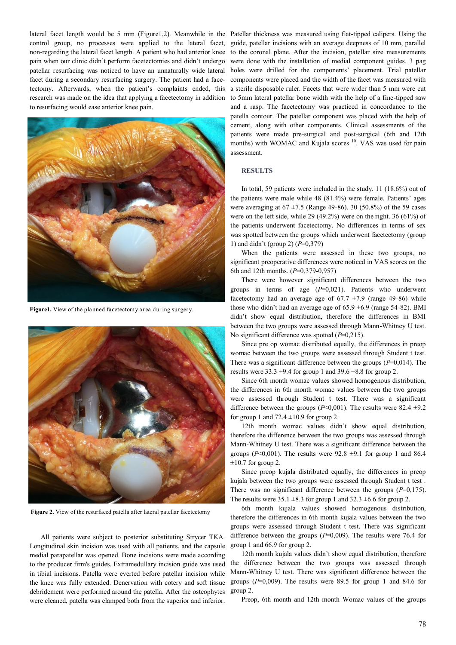control group, no processes were applied to the lateral facet, facet during a secondary resurfacing surgery. The patient had a facetectomy. Afterwards, when the patient's complaints ended, this research was made on the idea that applying a facetectomy in addition to resurfacing would ease anterior knee pain.



**Figure1.** View of the planned facetectomy area during surgery.



**Figure 2.** View of the resurfaced patella after lateral patellar facetectomy

All patients were subject to posterior substituting Strycer TKA. Longitudinal skin incision was used with all patients, and the capsule medial parapatellar was opened. Bone incisions were made according to the producer firm's guides. Extramedullary incision guide was used in tibial incisions. Patella were everted before patellar incision while the knee was fully extended. Denervation with cotery and soft tissue debridement were performed around the patella. After the osteophytes were cleaned, patella was clamped both from the superior and inferior.

lateral facet length would be 5 mm (Figure1,2). Meanwhile in the Patellar thickness was measured using flat-tipped calipers. Using the non-regarding the lateral facet length. A patient who had anterior knee to the coronal plane. After the incision, patellar size measurements pain when our clinic didn't perform facetectomies and didn't undergo were done with the installation of medial component guides. 3 pag patellar resurfacing was noticed to have an unnaturally wide lateral holes were drilled for the components' placement. Trial patellar guide, patellar incisions with an average deepness of 10 mm, parallel components were placed and the width of the facet was measured with a sterile disposable ruler. Facets that were wider than 5 mm were cut to 5mm lateral patellar bone width with the help of a fine-tipped saw and a rasp. The facetectomy was practiced in concordance to the patella contour. The patellar component was placed with the help of cement, along with other components. Clinical assessments of the patients were made pre-surgical and post-surgical (6th and 12th months) with WOMAC and Kujala scores <sup>10</sup>. VAS was used for pain assessment.

## **RESULTS**

In total, 59 patients were included in the study. 11 (18.6%) out of the patients were male while 48 (81.4%) were female. Patients' ages were averaging at  $67 \pm 7.5$  (Range 49-86). 30 (50.8%) of the 59 cases were on the left side, while 29 (49.2%) were on the right. 36 (61%) of the patients underwent facetectomy. No differences in terms of sex was spotted between the groups which underwent facetectomy (group 1) and didn't (group 2) (*P*=0,379)

When the patients were assessed in these two groups, no significant preoperative differences were noticed in VAS scores on the 6th and 12th months. (*P*=0,379-0,957)

There were however significant differences between the two groups in terms of age (*P*=0,021). Patients who underwent facetectomy had an average age of  $67.7 \pm 7.9$  (range 49-86) while those who didn't had an average age of  $65.9 \pm 6.9$  (range 54-82). BMI didn't show equal distribution, therefore the differences in BMI between the two groups were assessed through Mann-Whitney U test. No significant difference was spotted (*P*=0,215).

Since pre op womac distributed equally, the differences in preop womac between the two groups were assessed through Student t test. There was a significant difference between the groups (*P*=0,014). The results were  $33.3 \pm 9.4$  for group 1 and  $39.6 \pm 8.8$  for group 2.

Since 6th month womac values showed homogenous distribution, the differences in 6th month womac values between the two groups were assessed through Student t test. There was a significant difference between the groups ( $P \le 0.001$ ). The results were 82.4  $\pm$ 9.2 for group 1 and  $72.4 \pm 10.9$  for group 2.

12th month womac values didn't show equal distribution, therefore the difference between the two groups was assessed through Mann-Whitney U test. There was a significant difference between the groups ( $P<0,001$ ). The results were  $92.8 \pm 9.1$  for group 1 and 86.4  $\pm 10.7$  for group 2.

Since preop kujala distributed equally, the differences in preop kujala between the two groups were assessed through Student t test . There was no significant difference between the groups (*P*=0,175). The results were  $35.1 \pm 8.3$  for group 1 and  $32.3 \pm 6.6$  for group 2.

6th month kujala values showed homogenous distribution, therefore the differences in 6th month kujala values between the two groups were assessed through Student t test. There was significant difference between the groups (*P*=0,009). The results were 76.4 for group 1 and 66.9 for group 2.

12th month kujala values didn't show equal distribution, therefore the difference between the two groups was assessed through Mann-Whitney U test. There was significant difference between the groups (*P*=0,009). The results were 89.5 for group 1 and 84.6 for group 2.

Preop, 6th month and 12th month Womac values of the groups